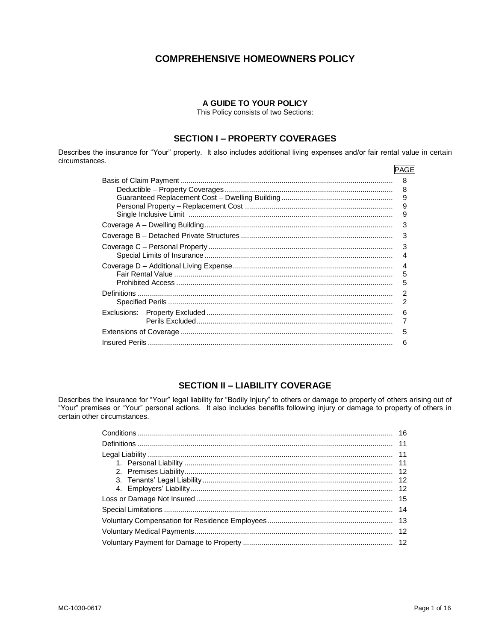# **COMPREHENSIVE HOMEOWNERS POLICY**

# A GUIDE TO YOUR POLICY

This Policy consists of two Sections:

# **SECTION I - PROPERTY COVERAGES**

Describes the insurance for "Your" property. It also includes additional living expenses and/or fair rental value in certain circumstances.

| PAGE |
|------|
| 8    |
| 8    |
| 9    |
| 9    |
| 9    |
| 3    |
| 3    |
| 3    |
| 4    |
| 4    |
| 5    |
| 5    |
| 2    |
| 2    |
| 6    |
| 7    |
| 5    |
| 6    |

# **SECTION II - LIABILITY COVERAGE**

Describes the insurance for "Your" legal liability for "Bodily Injury" to others or damage to property of others arising out of "Your" premises or "Your" personal actions. It also includes benefits following injury or dama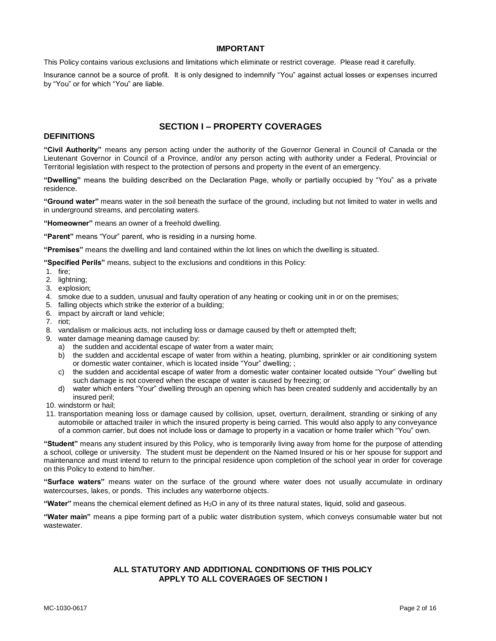# **IMPORTANT**

This Policy contains various exclusions and limitations which eliminate or restrict coverage. Please read it carefully.

Insurance cannot be a source of profit. It is only designed to indemnify "You" against actual losses or expenses incurred by "You" or for which "You" are liable.

# **DEFINITIONS**

# **SECTION I – PROPERTY COVERAGES**

**"Civil Authority"** means any person acting under the authority of the Governor General in Council of Canada or the Lieutenant Governor in Council of a Province, and/or any person acting with authority under a Federal, Provincial or Territorial legislation with respect to the protection of persons and property in the event of an emergency.

**"Dwelling"** means the building described on the Declaration Page, wholly or partially occupied by "You" as a private residence.

**"Ground water"** means water in the soil beneath the surface of the ground, including but not limited to water in wells and in underground streams, and percolating waters.

**"Homeowner"** means an owner of a freehold dwelling.

**"Parent"** means "Your" parent, who is residing in a nursing home.

**"Premises"** means the dwelling and land contained within the lot lines on which the dwelling is situated.

**"Specified Perils"** means, subject to the exclusions and conditions in this Policy:

- 1. fire;
- 2. lightning;
- 3. explosion;
- 4. smoke due to a sudden, unusual and faulty operation of any heating or cooking unit in or on the premises;
- 5. falling objects which strike the exterior of a building;
- 6. impact by aircraft or land vehicle;
- 7. riot;
- 8. vandalism or malicious acts, not including loss or damage caused by theft or attempted theft;
- 9. water damage meaning damage caused by:
	- a) the sudden and accidental escape of water from a water main;
	- b) the sudden and accidental escape of water from within a heating, plumbing, sprinkler or air conditioning system or domestic water container, which is located inside "Your" dwelling; ;
	- c) the sudden and accidental escape of water from a domestic water container located outside "Your" dwelling but such damage is not covered when the escape of water is caused by freezing; or
	- d) water which enters "Your" dwelling through an opening which has been created suddenly and accidentally by an insured peril;
- 10. windstorm or hail;
- 11. transportation meaning loss or damage caused by collision, upset, overturn, derailment, stranding or sinking of any automobile or attached trailer in which the insured property is being carried. This would also apply to any conveyance of a common carrier, but does not include loss or damage to property in a vacation or home trailer which "You" own.

**"Student"** means any student insured by this Policy, who is temporarily living away from home for the purpose of attending a school, college or university. The student must be dependent on the Named Insured or his or her spouse for support and maintenance and must intend to return to the principal residence upon completion of the school year in order for coverage on this Policy to extend to him/her.

**"Surface waters"** means water on the surface of the ground where water does not usually accumulate in ordinary watercourses, lakes, or ponds. This includes any waterborne objects.

**"Water"** means the chemical element defined as H2O in any of its three natural states, liquid, solid and gaseous.

**"Water main"** means a pipe forming part of a public water distribution system, which conveys consumable water but not wastewater.

# **ALL STATUTORY AND ADDITIONAL CONDITIONS OF THIS POLICY APPLY TO ALL COVERAGES OF SECTION I**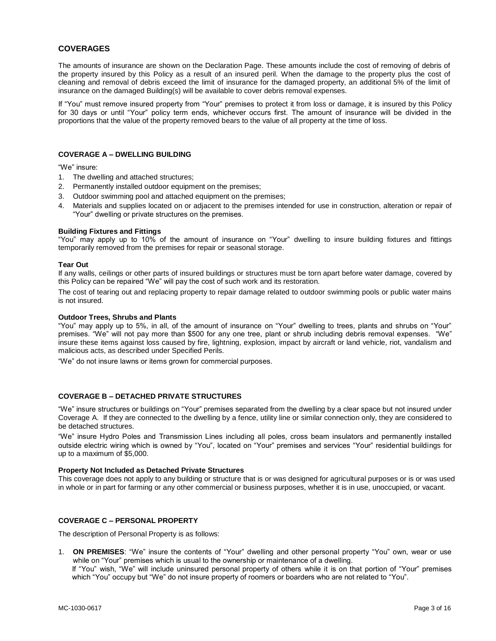# **COVERAGES**

The amounts of insurance are shown on the Declaration Page. These amounts include the cost of removing of debris of the property insured by this Policy as a result of an insured peril. When the damage to the property plus the cost of cleaning and removal of debris exceed the limit of insurance for the damaged property, an additional 5% of the limit of insurance on the damaged Building(s) will be available to cover debris removal expenses.

If "You" must remove insured property from "Your" premises to protect it from loss or damage, it is insured by this Policy for 30 days or until "Your" policy term ends, whichever occurs first. The amount of insurance will be divided in the proportions that the value of the property removed bears to the value of all property at the time of loss.

#### **COVERAGE A – DWELLING BUILDING**

"We" insure:

- 1. The dwelling and attached structures;
- 2. Permanently installed outdoor equipment on the premises;
- 3. Outdoor swimming pool and attached equipment on the premises;
- 4. Materials and supplies located on or adjacent to the premises intended for use in construction, alteration or repair of "Your" dwelling or private structures on the premises.

### **Building Fixtures and Fittings**

"You" may apply up to 10% of the amount of insurance on "Your" dwelling to insure building fixtures and fittings temporarily removed from the premises for repair or seasonal storage.

### **Tear Out**

If any walls, ceilings or other parts of insured buildings or structures must be torn apart before water damage, covered by this Policy can be repaired "We" will pay the cost of such work and its restoration.

The cost of tearing out and replacing property to repair damage related to outdoor swimming pools or public water mains is not insured.

#### **Outdoor Trees, Shrubs and Plants**

"You" may apply up to 5%, in all, of the amount of insurance on "Your" dwelling to trees, plants and shrubs on "Your" premises. "We" will not pay more than \$500 for any one tree, plant or shrub including debris removal expenses. "We" insure these items against loss caused by fire, lightning, explosion, impact by aircraft or land vehicle, riot, vandalism and malicious acts, as described under Specified Perils.

"We" do not insure lawns or items grown for commercial purposes.

# **COVERAGE B – DETACHED PRIVATE STRUCTURES**

"We" insure structures or buildings on "Your" premises separated from the dwelling by a clear space but not insured under Coverage A. If they are connected to the dwelling by a fence, utility line or similar connection only, they are considered to be detached structures.

"We" insure Hydro Poles and Transmission Lines including all poles, cross beam insulators and permanently installed outside electric wiring which is owned by "You", located on "Your" premises and services "Your" residential buildings for up to a maximum of \$5,000.

#### **Property Not Included as Detached Private Structures**

This coverage does not apply to any building or structure that is or was designed for agricultural purposes or is or was used in whole or in part for farming or any other commercial or business purposes, whether it is in use, unoccupied, or vacant.

# **COVERAGE C – PERSONAL PROPERTY**

The description of Personal Property is as follows:

1. **ON PREMISES**: "We" insure the contents of "Your" dwelling and other personal property "You" own, wear or use while on "Your" premises which is usual to the ownership or maintenance of a dwelling.

If "You" wish, "We" will include uninsured personal property of others while it is on that portion of "Your" premises which "You" occupy but "We" do not insure property of roomers or boarders who are not related to "You".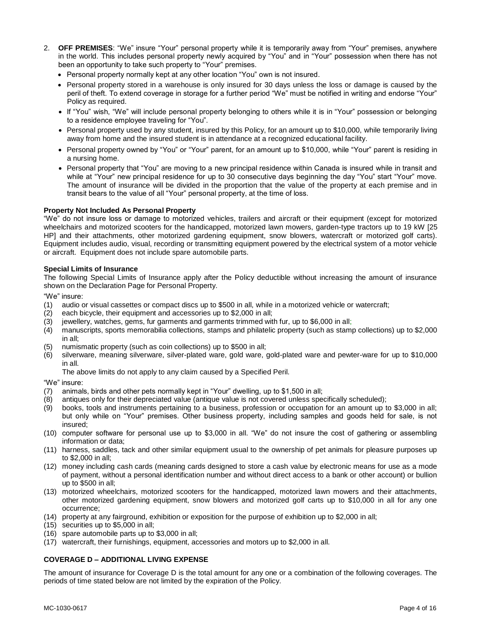- 2. **OFF PREMISES**: "We" insure "Your" personal property while it is temporarily away from "Your" premises, anywhere in the world. This includes personal property newly acquired by "You" and in "Your" possession when there has not been an opportunity to take such property to "Your" premises.
	- Personal property normally kept at any other location "You" own is not insured.
	- Personal property stored in a warehouse is only insured for 30 days unless the loss or damage is caused by the peril of theft. To extend coverage in storage for a further period "We" must be notified in writing and endorse "Your" Policy as required.
	- If "You" wish, "We" will include personal property belonging to others while it is in "Your" possession or belonging to a residence employee traveling for "You".
	- Personal property used by any student, insured by this Policy, for an amount up to \$10,000, while temporarily living away from home and the insured student is in attendance at a recognized educational facility.
	- Personal property owned by "You" or "Your" parent, for an amount up to \$10,000, while "Your" parent is residing in a nursing home.
	- Personal property that "You" are moving to a new principal residence within Canada is insured while in transit and while at "Your" new principal residence for up to 30 consecutive days beginning the day "You" start "Your" move. The amount of insurance will be divided in the proportion that the value of the property at each premise and in transit bears to the value of all "Your" personal property, at the time of loss.

# **Property Not Included As Personal Property**

"We" do not insure loss or damage to motorized vehicles, trailers and aircraft or their equipment (except for motorized wheelchairs and motorized scooters for the handicapped, motorized lawn mowers, garden-type tractors up to 19 kW [25 HP] and their attachments, other motorized gardening equipment, snow blowers, watercraft or motorized golf carts). Equipment includes audio, visual, recording or transmitting equipment powered by the electrical system of a motor vehicle or aircraft. Equipment does not include spare automobile parts.

# **Special Limits of Insurance**

The following Special Limits of Insurance apply after the Policy deductible without increasing the amount of insurance shown on the Declaration Page for Personal Property.

"We" insure:

- (1) audio or visual cassettes or compact discs up to \$500 in all, while in a motorized vehicle or watercraft;
- (2) each bicycle, their equipment and accessories up to \$2,000 in all;
- (3) jewellery, watches, gems, fur garments and garments trimmed with fur, up to \$6,000 in all;
- (4) manuscripts, sports memorabilia collections, stamps and philatelic property (such as stamp collections) up to \$2,000 in all;
- (5) numismatic property (such as coin collections) up to \$500 in all;
- (6) silverware, meaning silverware, silver-plated ware, gold ware, gold-plated ware and pewter-ware for up to \$10,000 in all.

The above limits do not apply to any claim caused by a Specified Peril.

"We" insure:

- (7) animals, birds and other pets normally kept in "Your" dwelling, up to \$1,500 in all;
- (8) antiques only for their depreciated value (antique value is not covered unless specifically scheduled);
- (9) books, tools and instruments pertaining to a business, profession or occupation for an amount up to \$3,000 in all; but only while on "Your" premises. Other business property, including samples and goods held for sale, is not insured;
- (10) computer software for personal use up to \$3,000 in all. "We" do not insure the cost of gathering or assembling information or data;
- (11) harness, saddles, tack and other similar equipment usual to the ownership of pet animals for pleasure purposes up to \$2,000 in all;
- (12) money including cash cards (meaning cards designed to store a cash value by electronic means for use as a mode of payment, without a personal identification number and without direct access to a bank or other account) or bullion up to \$500 in all;
- (13) motorized wheelchairs, motorized scooters for the handicapped, motorized lawn mowers and their attachments, other motorized gardening equipment, snow blowers and motorized golf carts up to \$10,000 in all for any one occurrence;
- (14) property at any fairground, exhibition or exposition for the purpose of exhibition up to \$2,000 in all;
- (15) securities up to \$5,000 in all;
- (16) spare automobile parts up to \$3,000 in all;
- (17) watercraft, their furnishings, equipment, accessories and motors up to \$2,000 in all.

# **COVERAGE D – ADDITIONAL LIVING EXPENSE**

The amount of insurance for Coverage D is the total amount for any one or a combination of the following coverages. The periods of time stated below are not limited by the expiration of the Policy.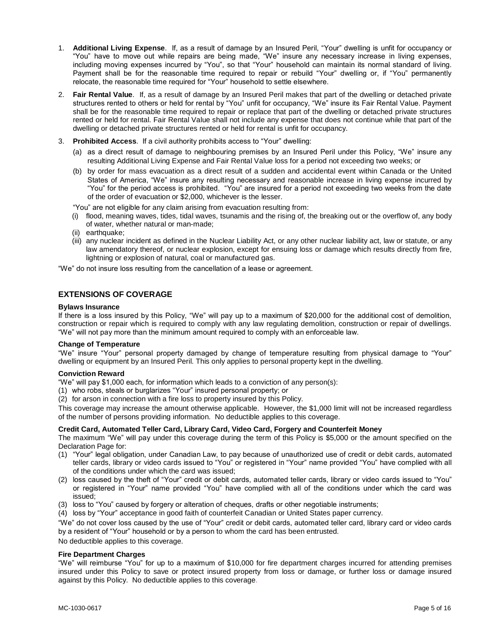- 1. **Additional Living Expense**. If, as a result of damage by an Insured Peril, "Your" dwelling is unfit for occupancy or "You" have to move out while repairs are being made, "We" insure any necessary increase in living expenses, including moving expenses incurred by "You", so that "Your" household can maintain its normal standard of living. Payment shall be for the reasonable time required to repair or rebuild "Your" dwelling or, if "You" permanently relocate, the reasonable time required for "Your" household to settle elsewhere.
- 2. **Fair Rental Value**. If, as a result of damage by an Insured Peril makes that part of the dwelling or detached private structures rented to others or held for rental by "You" unfit for occupancy, "We" insure its Fair Rental Value. Payment shall be for the reasonable time required to repair or replace that part of the dwelling or detached private structures rented or held for rental. Fair Rental Value shall not include any expense that does not continue while that part of the dwelling or detached private structures rented or held for rental is unfit for occupancy.
- 3. **Prohibited Access**. If a civil authority prohibits access to "Your" dwelling:
	- (a) as a direct result of damage to neighbouring premises by an Insured Peril under this Policy, "We" insure any resulting Additional Living Expense and Fair Rental Value loss for a period not exceeding two weeks; or
	- (b) by order for mass evacuation as a direct result of a sudden and accidental event within Canada or the United States of America, "We" insure any resulting necessary and reasonable increase in living expense incurred by "You" for the period access is prohibited. "You" are insured for a period not exceeding two weeks from the date of the order of evacuation or \$2,000, whichever is the lesser.

"You" are not eligible for any claim arising from evacuation resulting from:

- (i) flood, meaning waves, tides, tidal waves, tsunamis and the rising of, the breaking out or the overflow of, any body of water, whether natural or man-made;
- (ii) earthquake;
- (iii) any nuclear incident as defined in the Nuclear Liability Act, or any other nuclear liability act, law or statute, or any law amendatory thereof, or nuclear explosion, except for ensuing loss or damage which results directly from fire, lightning or explosion of natural, coal or manufactured gas.

"We" do not insure loss resulting from the cancellation of a lease or agreement.

# **EXTENSIONS OF COVERAGE**

#### **Bylaws Insurance**

If there is a loss insured by this Policy, "We" will pay up to a maximum of \$20,000 for the additional cost of demolition, construction or repair which is required to comply with any law regulating demolition, construction or repair of dwellings. "We" will not pay more than the minimum amount required to comply with an enforceable law.

#### **Change of Temperature**

"We" insure "Your" personal property damaged by change of temperature resulting from physical damage to "Your" dwelling or equipment by an Insured Peril. This only applies to personal property kept in the dwelling.

# **Conviction Reward**

"We" will pay \$1,000 each, for information which leads to a conviction of any person(s):

- (1) who robs, steals or burglarizes "Your" insured personal property; or
- (2) for arson in connection with a fire loss to property insured by this Policy.

This coverage may increase the amount otherwise applicable. However, the \$1,000 limit will not be increased regardless of the number of persons providing information. No deductible applies to this coverage.

# **Credit Card, Automated Teller Card, Library Card, Video Card, Forgery and Counterfeit Money**

The maximum "We" will pay under this coverage during the term of this Policy is \$5,000 or the amount specified on the Declaration Page for:

- (1) "Your" legal obligation, under Canadian Law, to pay because of unauthorized use of credit or debit cards, automated teller cards, library or video cards issued to "You" or registered in "Your" name provided "You" have complied with all of the conditions under which the card was issued;
- (2) loss caused by the theft of "Your" credit or debit cards, automated teller cards, library or video cards issued to "You" or registered in "Your" name provided "You" have complied with all of the conditions under which the card was issued;
- (3) loss to "You" caused by forgery or alteration of cheques, drafts or other negotiable instruments;
- (4) loss by "Your" acceptance in good faith of counterfeit Canadian or United States paper currency.

"We" do not cover loss caused by the use of "Your" credit or debit cards, automated teller card, library card or video cards by a resident of "Your" household or by a person to whom the card has been entrusted.

No deductible applies to this coverage.

# **Fire Department Charges**

"We" will reimburse "You" for up to a maximum of \$10,000 for fire department charges incurred for attending premises insured under this Policy to save or protect insured property from loss or damage, or further loss or damage insured against by this Policy. No deductible applies to this coverage.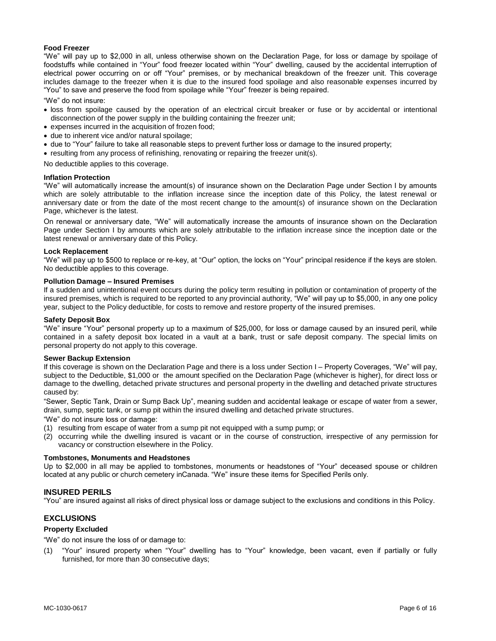### **Food Freezer**

"We" will pay up to \$2,000 in all, unless otherwise shown on the Declaration Page, for loss or damage by spoilage of foodstuffs while contained in "Your" food freezer located within "Your" dwelling, caused by the accidental interruption of electrical power occurring on or off "Your" premises, or by mechanical breakdown of the freezer unit. This coverage includes damage to the freezer when it is due to the insured food spoilage and also reasonable expenses incurred by "You" to save and preserve the food from spoilage while "Your" freezer is being repaired.

"We" do not insure:

- loss from spoilage caused by the operation of an electrical circuit breaker or fuse or by accidental or intentional disconnection of the power supply in the building containing the freezer unit;
- expenses incurred in the acquisition of frozen food:
- due to inherent vice and/or natural spoilage;
- due to "Your" failure to take all reasonable steps to prevent further loss or damage to the insured property;
- resulting from any process of refinishing, renovating or repairing the freezer unit(s).

No deductible applies to this coverage.

#### **Inflation Protection**

"We" will automatically increase the amount(s) of insurance shown on the Declaration Page under Section I by amounts which are solely attributable to the inflation increase since the inception date of this Policy, the latest renewal or anniversary date or from the date of the most recent change to the amount(s) of insurance shown on the Declaration Page, whichever is the latest.

On renewal or anniversary date, "We" will automatically increase the amounts of insurance shown on the Declaration Page under Section I by amounts which are solely attributable to the inflation increase since the inception date or the latest renewal or anniversary date of this Policy.

#### **Lock Replacement**

"We" will pay up to \$500 to replace or re-key, at "Our" option, the locks on "Your" principal residence if the keys are stolen. No deductible applies to this coverage.

# **Pollution Damage – Insured Premises**

If a sudden and unintentional event occurs during the policy term resulting in pollution or contamination of property of the insured premises, which is required to be reported to any provincial authority, "We" will pay up to \$5,000, in any one policy year, subject to the Policy deductible, for costs to remove and restore property of the insured premises.

#### **Safety Deposit Box**

"We" insure "Your" personal property up to a maximum of \$25,000, for loss or damage caused by an insured peril, while contained in a safety deposit box located in a vault at a bank, trust or safe deposit company. The special limits on personal property do not apply to this coverage.

#### **Sewer Backup Extension**

If this coverage is shown on the Declaration Page and there is a loss under Section I – Property Coverages, "We" will pay, subject to the Deductible, \$1,000 or the amount specified on the Declaration Page (whichever is higher), for direct loss or damage to the dwelling, detached private structures and personal property in the dwelling and detached private structures caused by:

"Sewer, Septic Tank, Drain or Sump Back Up", meaning sudden and accidental leakage or escape of water from a sewer, drain, sump, septic tank, or sump pit within the insured dwelling and detached private structures.

"We" do not insure loss or damage:

- (1) resulting from escape of water from a sump pit not equipped with a sump pump; or
- (2) occurring while the dwelling insured is vacant or in the course of construction, irrespective of any permission for vacancy or construction elsewhere in the Policy.

#### **Tombstones, Monuments and Headstones**

Up to \$2,000 in all may be applied to tombstones, monuments or headstones of "Your" deceased spouse or children located at any public or church cemetery inCanada. "We" insure these items for Specified Perils only.

#### **INSURED PERILS**

"You" are insured against all risks of direct physical loss or damage subject to the exclusions and conditions in this Policy.

# **EXCLUSIONS**

# **Property Excluded**

"We" do not insure the loss of or damage to:

"Your" insured property when "Your" dwelling has to "Your" knowledge, been vacant, even if partially or fully furnished, for more than 30 consecutive days;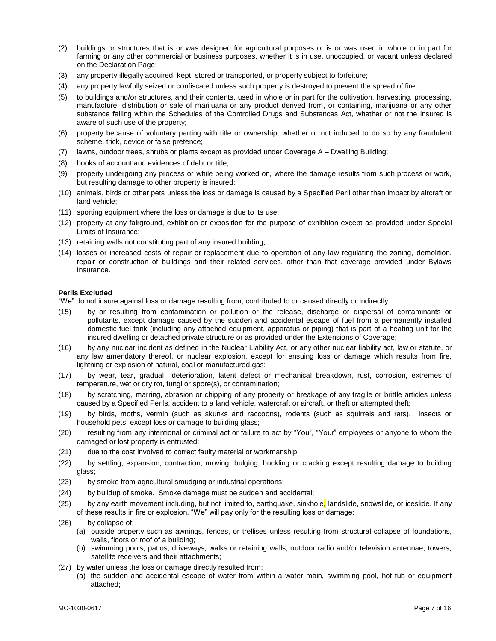- (2) buildings or structures that is or was designed for agricultural purposes or is or was used in whole or in part for farming or any other commercial or business purposes, whether it is in use, unoccupied, or vacant unless declared on the Declaration Page;
- (3) any property illegally acquired, kept, stored or transported, or property subject to forfeiture;
- (4) any property lawfully seized or confiscated unless such property is destroyed to prevent the spread of fire;
- (5) to buildings and/or structures, and their contents, used in whole or in part for the cultivation, harvesting, processing, manufacture, distribution or sale of marijuana or any product derived from, or containing, marijuana or any other substance falling within the Schedules of the Controlled Drugs and Substances Act, whether or not the insured is aware of such use of the property;
- (6) property because of voluntary parting with title or ownership, whether or not induced to do so by any fraudulent scheme, trick, device or false pretence;
- (7) lawns, outdoor trees, shrubs or plants except as provided under Coverage A Dwelling Building;
- (8) books of account and evidences of debt or title;
- (9) property undergoing any process or while being worked on, where the damage results from such process or work, but resulting damage to other property is insured;
- (10) animals, birds or other pets unless the loss or damage is caused by a Specified Peril other than impact by aircraft or land vehicle;
- (11) sporting equipment where the loss or damage is due to its use;
- (12) property at any fairground, exhibition or exposition for the purpose of exhibition except as provided under Special Limits of Insurance;
- (13) retaining walls not constituting part of any insured building;
- (14) losses or increased costs of repair or replacement due to operation of any law regulating the zoning, demolition, repair or construction of buildings and their related services, other than that coverage provided under Bylaws Insurance.

#### **Perils Excluded**

"We" do not insure against loss or damage resulting from, contributed to or caused directly or indirectly:

- (15) by or resulting from contamination or pollution or the release, discharge or dispersal of contaminants or pollutants, except damage caused by the sudden and accidental escape of fuel from a permanently installed domestic fuel tank (including any attached equipment, apparatus or piping) that is part of a heating unit for the insured dwelling or detached private structure or as provided under the Extensions of Coverage;
- (16) by any nuclear incident as defined in the Nuclear Liability Act, or any other nuclear liability act, law or statute, or any law amendatory thereof, or nuclear explosion, except for ensuing loss or damage which results from fire, lightning or explosion of natural, coal or manufactured gas;
- (17) by wear, tear, gradual deterioration, latent defect or mechanical breakdown, rust, corrosion, extremes of temperature, wet or dry rot, fungi or spore(s), or contamination;
- (18) by scratching, marring, abrasion or chipping of any property or breakage of any fragile or brittle articles unless caused by a Specified Perils, accident to a land vehicle, watercraft or aircraft, or theft or attempted theft;
- (19) by birds, moths, vermin (such as skunks and raccoons), rodents (such as squirrels and rats), insects or household pets, except loss or damage to building glass;
- (20) resulting from any intentional or criminal act or failure to act by "You", "Your" employees or anyone to whom the damaged or lost property is entrusted;
- (21) due to the cost involved to correct faulty material or workmanship;
- (22) by settling, expansion, contraction, moving, bulging, buckling or cracking except resulting damage to building glass;
- (23) by smoke from agricultural smudging or industrial operations;
- (24) by buildup of smoke. Smoke damage must be sudden and accidental;
- (25) by any earth movement including, but not limited to, earthquake, sinkhole, landslide, snowslide, or iceslide. If any of these results in fire or explosion, "We" will pay only for the resulting loss or damage;
- (26) by collapse of:
	- (a) outside property such as awnings, fences, or trellises unless resulting from structural collapse of foundations, walls, floors or roof of a building;
	- (b) swimming pools, patios, driveways, walks or retaining walls, outdoor radio and/or television antennae, towers, satellite receivers and their attachments;
- (27) by water unless the loss or damage directly resulted from:
	- (a) the sudden and accidental escape of water from within a water main, swimming pool, hot tub or equipment attached;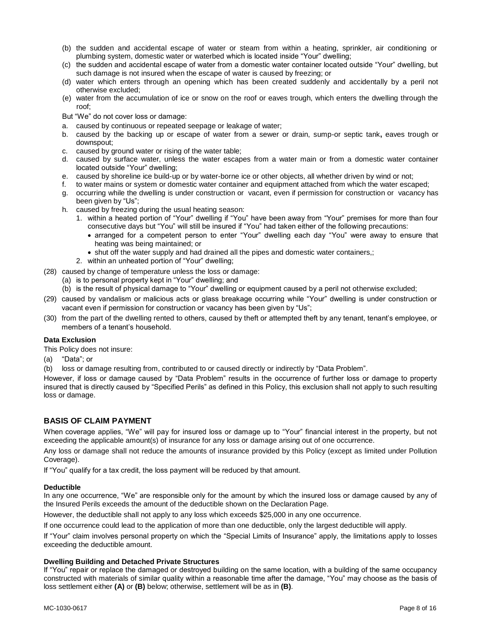- (b) the sudden and accidental escape of water or steam from within a heating, sprinkler, air conditioning or plumbing system, domestic water or waterbed which is located inside "Your" dwelling;
- (c) the sudden and accidental escape of water from a domestic water container located outside "Your" dwelling, but such damage is not insured when the escape of water is caused by freezing; or
- (d) water which enters through an opening which has been created suddenly and accidentally by a peril not otherwise excluded;
- (e) water from the accumulation of ice or snow on the roof or eaves trough, which enters the dwelling through the roof;
- But "We" do not cover loss or damage:
- a. caused by continuous or repeated seepage or leakage of water;
- b. caused by the backing up or escape of water from a sewer or drain, sump-or septic tank**,** eaves trough or downspout;
- c. caused by ground water or rising of the water table;
- d. caused by surface water, unless the water escapes from a water main or from a domestic water container located outside "Your" dwelling;
- e. caused by shoreline ice build-up or by water-borne ice or other objects, all whether driven by wind or not;
- f. to water mains or system or domestic water container and equipment attached from which the water escaped;
- g. occurring while the dwelling is under construction or vacant, even if permission for construction or vacancy has been given by "Us";
- h. caused by freezing during the usual heating season:
	- 1. within a heated portion of "Your" dwelling if "You" have been away from "Your" premises for more than four consecutive days but "You" will still be insured if "You" had taken either of the following precautions:
		- arranged for a competent person to enter "Your" dwelling each day "You" were away to ensure that heating was being maintained; or
		- shut off the water supply and had drained all the pipes and domestic water containers,;
	- 2. within an unheated portion of "Your" dwelling;
- (28) caused by change of temperature unless the loss or damage:
	- (a) is to personal property kept in "Your" dwelling; and
	- (b) is the result of physical damage to "Your" dwelling or equipment caused by a peril not otherwise excluded;
- (29) caused by vandalism or malicious acts or glass breakage occurring while "Your" dwelling is under construction or vacant even if permission for construction or vacancy has been given by "Us";
- (30) from the part of the dwelling rented to others, caused by theft or attempted theft by any tenant, tenant's employee, or members of a tenant's household.

# **Data Exclusion**

This Policy does not insure:

- (a) "Data"; or
- (b) loss or damage resulting from, contributed to or caused directly or indirectly by "Data Problem".

However, if loss or damage caused by "Data Problem" results in the occurrence of further loss or damage to property insured that is directly caused by "Specified Perils" as defined in this Policy, this exclusion shall not apply to such resulting loss or damage.

# **BASIS OF CLAIM PAYMENT**

When coverage applies, "We" will pay for insured loss or damage up to "Your" financial interest in the property, but not exceeding the applicable amount(s) of insurance for any loss or damage arising out of one occurrence.

Any loss or damage shall not reduce the amounts of insurance provided by this Policy (except as limited under Pollution Coverage).

If "You" qualify for a tax credit, the loss payment will be reduced by that amount.

#### **Deductible**

In any one occurrence, "We" are responsible only for the amount by which the insured loss or damage caused by any of the Insured Perils exceeds the amount of the deductible shown on the Declaration Page.

However, the deductible shall not apply to any loss which exceeds \$25,000 in any one occurrence.

If one occurrence could lead to the application of more than one deductible, only the largest deductible will apply.

If "Your" claim involves personal property on which the "Special Limits of Insurance" apply, the limitations apply to losses exceeding the deductible amount.

#### **Dwelling Building and Detached Private Structures**

If "You" repair or replace the damaged or destroyed building on the same location, with a building of the same occupancy constructed with materials of similar quality within a reasonable time after the damage, "You" may choose as the basis of loss settlement either **(A)** or **(B)** below; otherwise, settlement will be as in **(B)**.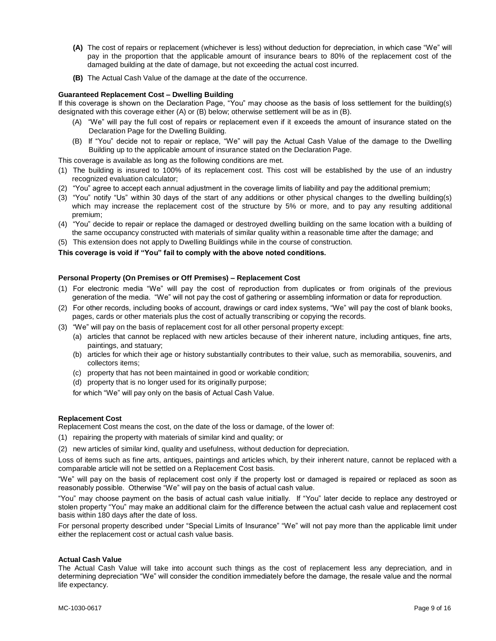- **(A)** The cost of repairs or replacement (whichever is less) without deduction for depreciation, in which case "We" will pay in the proportion that the applicable amount of insurance bears to 80% of the replacement cost of the damaged building at the date of damage, but not exceeding the actual cost incurred.
- **(B)** The Actual Cash Value of the damage at the date of the occurrence.

### **Guaranteed Replacement Cost – Dwelling Building**

If this coverage is shown on the Declaration Page, "You" may choose as the basis of loss settlement for the building(s) designated with this coverage either (A) or (B) below; otherwise settlement will be as in (B).

- (A) "We" will pay the full cost of repairs or replacement even if it exceeds the amount of insurance stated on the Declaration Page for the Dwelling Building.
- (B) If "You" decide not to repair or replace, "We" will pay the Actual Cash Value of the damage to the Dwelling Building up to the applicable amount of insurance stated on the Declaration Page.

This coverage is available as long as the following conditions are met.

- (1) The building is insured to 100% of its replacement cost. This cost will be established by the use of an industry recognized evaluation calculator;
- (2) "You" agree to accept each annual adjustment in the coverage limits of liability and pay the additional premium;
- (3) "You" notify "Us" within 30 days of the start of any additions or other physical changes to the dwelling building(s) which may increase the replacement cost of the structure by 5% or more, and to pay any resulting additional premium;
- (4) "You" decide to repair or replace the damaged or destroyed dwelling building on the same location with a building of the same occupancy constructed with materials of similar quality within a reasonable time after the damage; and
- (5) This extension does not apply to Dwelling Buildings while in the course of construction.

# **This coverage is void if "You" fail to comply with the above noted conditions.**

#### **Personal Property (On Premises or Off Premises) – Replacement Cost**

- (1) For electronic media "We" will pay the cost of reproduction from duplicates or from originals of the previous generation of the media. "We" will not pay the cost of gathering or assembling information or data for reproduction.
- (2) For other records, including books of account, drawings or card index systems, "We" will pay the cost of blank books, pages, cards or other materials plus the cost of actually transcribing or copying the records.
- (3) "We" will pay on the basis of replacement cost for all other personal property except:
	- (a) articles that cannot be replaced with new articles because of their inherent nature, including antiques, fine arts, paintings, and statuary;
	- (b) articles for which their age or history substantially contributes to their value, such as memorabilia, souvenirs, and collectors items;
	- (c) property that has not been maintained in good or workable condition;
	- (d) property that is no longer used for its originally purpose;

for which "We" will pay only on the basis of Actual Cash Value.

#### **Replacement Cost**

Replacement Cost means the cost, on the date of the loss or damage, of the lower of:

- (1) repairing the property with materials of similar kind and quality; or
- (2) new articles of similar kind, quality and usefulness, without deduction for depreciation.

Loss of items such as fine arts, antiques, paintings and articles which, by their inherent nature, cannot be replaced with a comparable article will not be settled on a Replacement Cost basis.

"We" will pay on the basis of replacement cost only if the property lost or damaged is repaired or replaced as soon as reasonably possible. Otherwise "We" will pay on the basis of actual cash value.

"You" may choose payment on the basis of actual cash value initially. If "You" later decide to replace any destroyed or stolen property "You" may make an additional claim for the difference between the actual cash value and replacement cost basis within 180 days after the date of loss.

For personal property described under "Special Limits of Insurance" "We" will not pay more than the applicable limit under either the replacement cost or actual cash value basis.

#### **Actual Cash Value**

The Actual Cash Value will take into account such things as the cost of replacement less any depreciation, and in determining depreciation "We" will consider the condition immediately before the damage, the resale value and the normal life expectancy.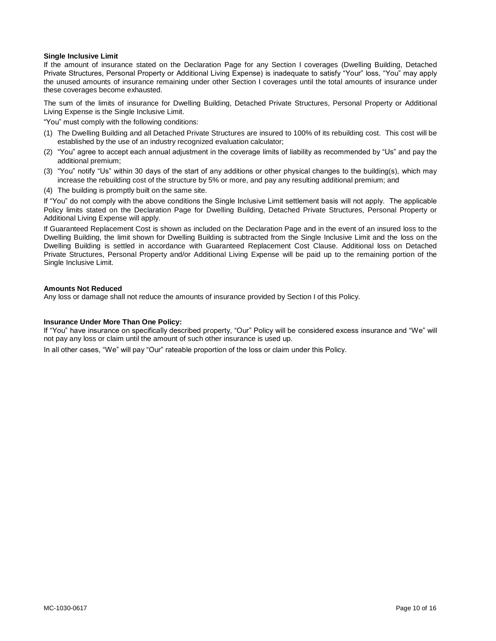# **Single Inclusive Limit**

If the amount of insurance stated on the Declaration Page for any Section I coverages (Dwelling Building, Detached Private Structures, Personal Property or Additional Living Expense) is inadequate to satisfy "Your" loss, "You" may apply the unused amounts of insurance remaining under other Section I coverages until the total amounts of insurance under these coverages become exhausted.

The sum of the limits of insurance for Dwelling Building, Detached Private Structures, Personal Property or Additional Living Expense is the Single Inclusive Limit.

"You" must comply with the following conditions:

- (1) The Dwelling Building and all Detached Private Structures are insured to 100% of its rebuilding cost. This cost will be established by the use of an industry recognized evaluation calculator;
- (2) "You" agree to accept each annual adjustment in the coverage limits of liability as recommended by "Us" and pay the additional premium;
- (3) "You" notify "Us" within 30 days of the start of any additions or other physical changes to the building(s), which may increase the rebuilding cost of the structure by 5% or more, and pay any resulting additional premium; and
- (4) The building is promptly built on the same site.

If "You" do not comply with the above conditions the Single Inclusive Limit settlement basis will not apply. The applicable Policy limits stated on the Declaration Page for Dwelling Building, Detached Private Structures, Personal Property or Additional Living Expense will apply.

If Guaranteed Replacement Cost is shown as included on the Declaration Page and in the event of an insured loss to the Dwelling Building, the limit shown for Dwelling Building is subtracted from the Single Inclusive Limit and the loss on the Dwelling Building is settled in accordance with Guaranteed Replacement Cost Clause. Additional loss on Detached Private Structures, Personal Property and/or Additional Living Expense will be paid up to the remaining portion of the Single Inclusive Limit.

#### **Amounts Not Reduced**

Any loss or damage shall not reduce the amounts of insurance provided by Section I of this Policy.

#### **Insurance Under More Than One Policy:**

If "You" have insurance on specifically described property, "Our" Policy will be considered excess insurance and "We" will not pay any loss or claim until the amount of such other insurance is used up.

In all other cases, "We" will pay "Our" rateable proportion of the loss or claim under this Policy.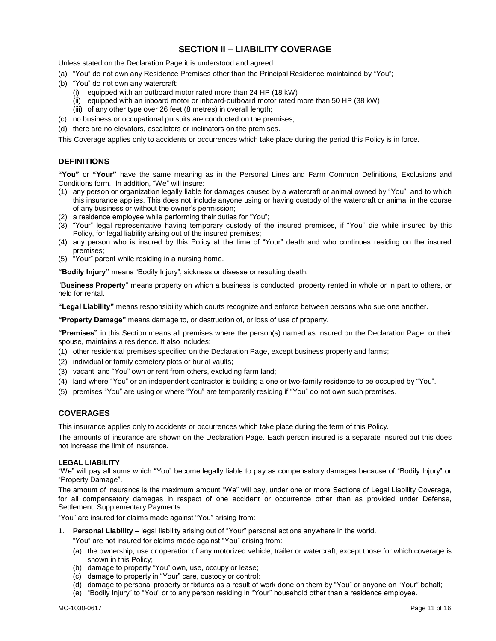# **SECTION II – LIABILITY COVERAGE**

Unless stated on the Declaration Page it is understood and agreed:

- (a) "You" do not own any Residence Premises other than the Principal Residence maintained by "You";
- (b) "You" do not own any watercraft:
	- (i) equipped with an outboard motor rated more than 24 HP (18 kW)
	- (ii) equipped with an inboard motor or inboard-outboard motor rated more than 50 HP (38 kW)
	- (iii) of any other type over 26 feet (8 metres) in overall length;
- (c) no business or occupational pursuits are conducted on the premises;
- (d) there are no elevators, escalators or inclinators on the premises.

This Coverage applies only to accidents or occurrences which take place during the period this Policy is in force.

# **DEFINITIONS**

**"You"** or **"Your"** have the same meaning as in the Personal Lines and Farm Common Definitions, Exclusions and Conditions form*.* In addition, "We" will insure:

- (1) any person or organization legally liable for damages caused by a watercraft or animal owned by "You", and to which this insurance applies. This does not include anyone using or having custody of the watercraft or animal in the course of any business or without the owner's permission;
- (2) a residence employee while performing their duties for "You";
- (3) "Your" legal representative having temporary custody of the insured premises, if "You" die while insured by this Policy, for legal liability arising out of the insured premises;
- (4) any person who is insured by this Policy at the time of "Your" death and who continues residing on the insured premises;
- (5) "Your" parent while residing in a nursing home.

**"Bodily Injury"** means "Bodily Injury", sickness or disease or resulting death.

"**Business Property**" means property on which a business is conducted, property rented in whole or in part to others, or held for rental.

**"Legal Liability"** means responsibility which courts recognize and enforce between persons who sue one another.

**"Property Damage"** means damage to, or destruction of, or loss of use of property.

**"Premises"** in this Section means all premises where the person(s) named as Insured on the Declaration Page, or their spouse, maintains a residence. It also includes:

- (1) other residential premises specified on the Declaration Page, except business property and farms;
- (2) individual or family cemetery plots or burial vaults;
- (3) vacant land "You" own or rent from others, excluding farm land;
- (4) land where "You" or an independent contractor is building a one or two-family residence to be occupied by "You".
- (5) premises "You" are using or where "You" are temporarily residing if "You" do not own such premises.

# **COVERAGES**

This insurance applies only to accidents or occurrences which take place during the term of this Policy.

The amounts of insurance are shown on the Declaration Page. Each person insured is a separate insured but this does not increase the limit of insurance.

# **LEGAL LIABILITY**

"We" will pay all sums which "You" become legally liable to pay as compensatory damages because of "Bodily Injury" or "Property Damage".

The amount of insurance is the maximum amount "We" will pay, under one or more Sections of Legal Liability Coverage, for all compensatory damages in respect of one accident or occurrence other than as provided under Defense, Settlement, Supplementary Payments.

"You" are insured for claims made against "You" arising from:

1. **Personal Liability** – legal liability arising out of "Your" personal actions anywhere in the world.

"You" are not insured for claims made against "You" arising from:

- (a) the ownership, use or operation of any motorized vehicle, trailer or watercraft, except those for which coverage is shown in this Policy;
- (b) damage to property "You" own, use, occupy or lease;
- (c) damage to property in "Your" care, custody or control;
- (d) damage to personal property or fixtures as a result of work done on them by "You" or anyone on "Your" behalf;
- (e) "Bodily Injury" to "You" or to any person residing in "Your" household other than a residence employee.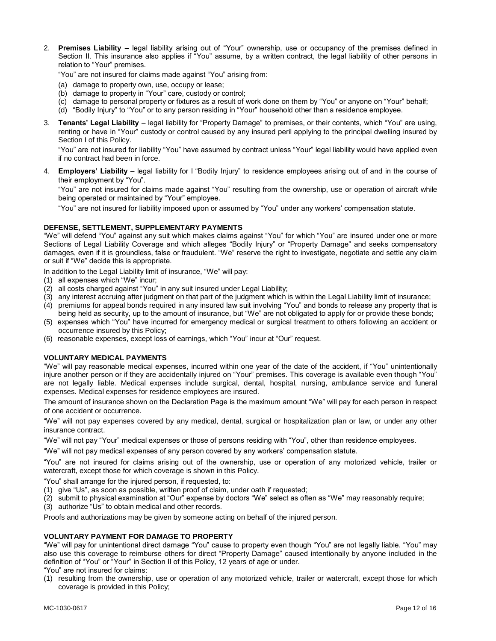2. **Premises Liability** – legal liability arising out of "Your" ownership, use or occupancy of the premises defined in Section II. This insurance also applies if "You" assume, by a written contract, the legal liability of other persons in relation to "Your" premises.

"You" are not insured for claims made against "You" arising from:

- (a) damage to property own, use, occupy or lease;
- (b) damage to property in "Your" care, custody or control;
- (c) damage to personal property or fixtures as a result of work done on them by "You" or anyone on "Your" behalf;
- (d) "Bodily Injury" to "You" or to any person residing in "Your" household other than a residence employee.
- 3. **Tenants' Legal Liability** legal liability for "Property Damage" to premises, or their contents, which "You" are using, renting or have in "Your" custody or control caused by any insured peril applying to the principal dwelling insured by Section I of this Policy.

"You" are not insured for liability "You" have assumed by contract unless "Your" legal liability would have applied even if no contract had been in force.

4. **Employers' Liability** – legal liability for l "Bodily Injury" to residence employees arising out of and in the course of their employment by "You".

"You" are not insured for claims made against "You" resulting from the ownership, use or operation of aircraft while being operated or maintained by "Your" employee.

"You" are not insured for liability imposed upon or assumed by "You" under any workers' compensation statute.

# **DEFENSE, SETTLEMENT, SUPPLEMENTARY PAYMENTS**

"We" will defend "You" against any suit which makes claims against "You" for which "You" are insured under one or more Sections of Legal Liability Coverage and which alleges "Bodily Injury" or "Property Damage" and seeks compensatory damages, even if it is groundless, false or fraudulent. "We" reserve the right to investigate, negotiate and settle any claim or suit if "We" decide this is appropriate.

In addition to the Legal Liability limit of insurance, "We" will pay:

- (1) all expenses which "We" incur;
- (2) all costs charged against "You" in any suit insured under Legal Liability;
- (3) any interest accruing after judgment on that part of the judgment which is within the Legal Liability limit of insurance;
- (4) premiums for appeal bonds required in any insured law suit involving "You" and bonds to release any property that is being held as security, up to the amount of insurance, but "We" are not obligated to apply for or provide these bonds;
- (5) expenses which "You" have incurred for emergency medical or surgical treatment to others following an accident or occurrence insured by this Policy;
- (6) reasonable expenses, except loss of earnings, which "You" incur at "Our" request.

# **VOLUNTARY MEDICAL PAYMENTS**

"We" will pay reasonable medical expenses, incurred within one year of the date of the accident, if "You" unintentionally injure another person or if they are accidentally injured on "Your" premises. This coverage is available even though "You" are not legally liable. Medical expenses include surgical, dental, hospital, nursing, ambulance service and funeral expenses. Medical expenses for residence employees are insured.

The amount of insurance shown on the Declaration Page is the maximum amount "We" will pay for each person in respect of one accident or occurrence.

"We" will not pay expenses covered by any medical, dental, surgical or hospitalization plan or law, or under any other insurance contract.

"We" will not pay "Your" medical expenses or those of persons residing with "You", other than residence employees.

"We" will not pay medical expenses of any person covered by any workers' compensation statute.

"You" are not insured for claims arising out of the ownership, use or operation of any motorized vehicle, trailer or watercraft, except those for which coverage is shown in this Policy.

"You" shall arrange for the injured person, if requested, to:

- (1) give "Us", as soon as possible, written proof of claim, under oath if requested;
- (2) submit to physical examination at "Our" expense by doctors "We" select as often as "We" may reasonably require;
- (3) authorize "Us" to obtain medical and other records.

Proofs and authorizations may be given by someone acting on behalf of the injured person.

#### **VOLUNTARY PAYMENT FOR DAMAGE TO PROPERTY**

"We" will pay for unintentional direct damage "You" cause to property even though "You" are not legally liable. "You" may also use this coverage to reimburse others for direct "Property Damage" caused intentionally by anyone included in the definition of "You" or "Your" in Section II of this Policy, 12 years of age or under.

"You" are not insured for claims:

(1) resulting from the ownership, use or operation of any motorized vehicle, trailer or watercraft, except those for which coverage is provided in this Policy;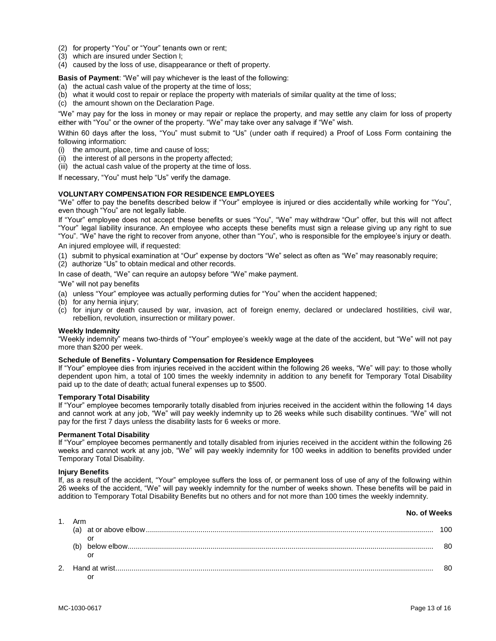- (2) for property "You" or "Your" tenants own or rent;
- (3) which are insured under Section I;
- (4) caused by the loss of use, disappearance or theft of property.

**Basis of Payment**: "We" will pay whichever is the least of the following:

- (a) the actual cash value of the property at the time of loss;
- (b) what it would cost to repair or replace the property with materials of similar quality at the time of loss;
- (c) the amount shown on the Declaration Page.

"We" may pay for the loss in money or may repair or replace the property, and may settle any claim for loss of property either with "You" or the owner of the property. "We" may take over any salvage if "We" wish.

Within 60 days after the loss, "You" must submit to "Us" (under oath if required) a Proof of Loss Form containing the following information:

- (i) the amount, place, time and cause of loss;
- (ii) the interest of all persons in the property affected;
- (iii) the actual cash value of the property at the time of loss.

If necessary, "You" must help "Us" verify the damage.

#### **VOLUNTARY COMPENSATION FOR RESIDENCE EMPLOYEES**

"We" offer to pay the benefits described below if "Your" employee is injured or dies accidentally while working for "You", even though "You" are not legally liable.

If "Your" employee does not accept these benefits or sues "You", "We" may withdraw "Our" offer, but this will not affect "Your" legal liability insurance. An employee who accepts these benefits must sign a release giving up any right to sue "You". "We" have the right to recover from anyone, other than "You", who is responsible for the employee's injury or death.

An injured employee will, if requested:

- (1) submit to physical examination at "Our" expense by doctors "We" select as often as "We" may reasonably require;
- (2) authorize "Us" to obtain medical and other records.

In case of death, "We" can require an autopsy before "We" make payment.

#### "We" will not pay benefits

- (a) unless "Your" employee was actually performing duties for "You" when the accident happened;
- (b) for any hernia injury;
- (c) for injury or death caused by war, invasion, act of foreign enemy, declared or undeclared hostilities, civil war, rebellion, revolution, insurrection or military power.

#### **Weekly Indemnity**

"Weekly indemnity" means two-thirds of "Your" employee's weekly wage at the date of the accident, but "We" will not pay more than \$200 per week.

#### **Schedule of Benefits - Voluntary Compensation for Residence Employees**

If "Your" employee dies from injuries received in the accident within the following 26 weeks, "We" will pay: to those wholly dependent upon him, a total of 100 times the weekly indemnity in addition to any benefit for Temporary Total Disability paid up to the date of death; actual funeral expenses up to \$500.

#### **Temporary Total Disability**

If "Your" employee becomes temporarily totally disabled from injuries received in the accident within the following 14 days and cannot work at any job, "We" will pay weekly indemnity up to 26 weeks while such disability continues. "We" will not pay for the first 7 days unless the disability lasts for 6 weeks or more.

#### **Permanent Total Disability**

If "Your" employee becomes permanently and totally disabled from injuries received in the accident within the following 26 weeks and cannot work at any job, "We" will pay weekly indemnity for 100 weeks in addition to benefits provided under Temporary Total Disability.

#### **Injury Benefits**

If, as a result of the accident, "Your" employee suffers the loss of, or permanent loss of use of any of the following within 26 weeks of the accident, "We" will pay weekly indemnity for the number of weeks shown. These benefits will be paid in addition to Temporary Total Disability Benefits but no others and for not more than 100 times the weekly indemnity.

| <b>NU.UI WEERS</b><br>1. Arm |     |  |
|------------------------------|-----|--|
|                              | 100 |  |
| (b)                          | 80  |  |
|                              | 80  |  |

**No. of Weeks**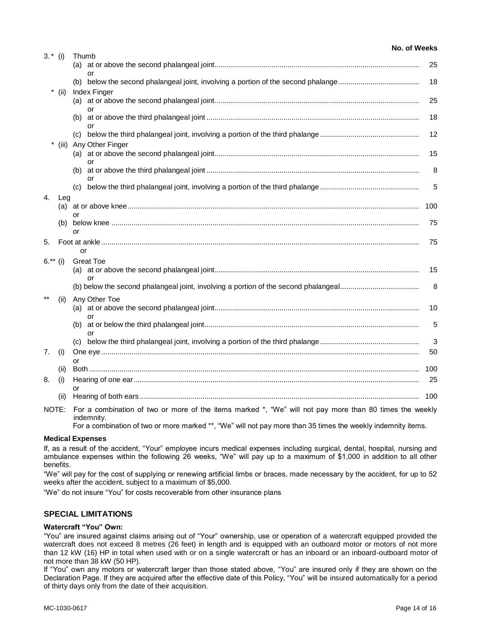| $3.*$ (i) |       | Thumb                                                                                                                 |     |
|-----------|-------|-----------------------------------------------------------------------------------------------------------------------|-----|
|           |       |                                                                                                                       | 25  |
|           |       | or                                                                                                                    | 18  |
|           | (ii)  | Index Finger                                                                                                          |     |
|           |       |                                                                                                                       | 25  |
|           |       | Ωr                                                                                                                    | 18  |
|           |       | (C)                                                                                                                   | 12  |
|           | (iii) | Any Other Finger                                                                                                      |     |
|           |       | or                                                                                                                    | 15  |
|           |       |                                                                                                                       | 8   |
|           |       | (c)                                                                                                                   | 5   |
| 4.        | Leg   |                                                                                                                       |     |
|           |       | or                                                                                                                    | 100 |
|           | (b)   |                                                                                                                       | 75  |
| 5.        |       | or                                                                                                                    | 75  |
|           |       | or                                                                                                                    |     |
| $6.*$ (i) |       | <b>Great Toe</b>                                                                                                      |     |
|           |       |                                                                                                                       | 15  |
|           |       |                                                                                                                       | 8   |
|           | (ii)  | Any Other Toe                                                                                                         |     |
|           |       | or                                                                                                                    | 10  |
|           |       |                                                                                                                       | 5   |
|           |       | or                                                                                                                    | 3   |
| 7.        | (i)   |                                                                                                                       | 50  |
|           | (ii)  | or                                                                                                                    | 100 |
| 8.        | (i)   |                                                                                                                       | 25  |
|           |       | or                                                                                                                    |     |
|           | (ii)  |                                                                                                                       | 100 |
| NOTE:     |       | For a combination of two or more of the items marked *, "We" will not pay more than 80 times the weekly<br>indemnity. |     |
|           |       | For a combination of two or more marked **, "We" will not pay more than 35 times the weekly indemnity items.          |     |

# **Medical Expenses**

If, as a result of the accident, "Your" employee incurs medical expenses including surgical, dental, hospital, nursing and ambulance expenses within the following 26 weeks, "We" will pay up to a maximum of \$1,000 in addition to all other benefits.

"We" will pay for the cost of supplying or renewing artificial limbs or braces, made necessary by the accident, for up to 52 weeks after the accident, subject to a maximum of \$5,000.

"We" do not insure "You" for costs recoverable from other insurance plans

# **SPECIAL LIMITATIONS**

# **Watercraft "You" Own:**

"You" are insured against claims arising out of "Your" ownership, use or operation of a watercraft equipped provided the watercraft does not exceed 8 metres (26 feet) in length and is equipped with an outboard motor or motors of not more than 12 kW (16) HP in total when used with or on a single watercraft or has an inboard or an inboard-outboard motor of not more than 38 kW (50 HP).

If "You" own any motors or watercraft larger than those stated above, "You" are insured only if they are shown on the Declaration Page. If they are acquired after the effective date of this Policy, "You" will be insured automatically for a period of thirty days only from the date of their acquisition.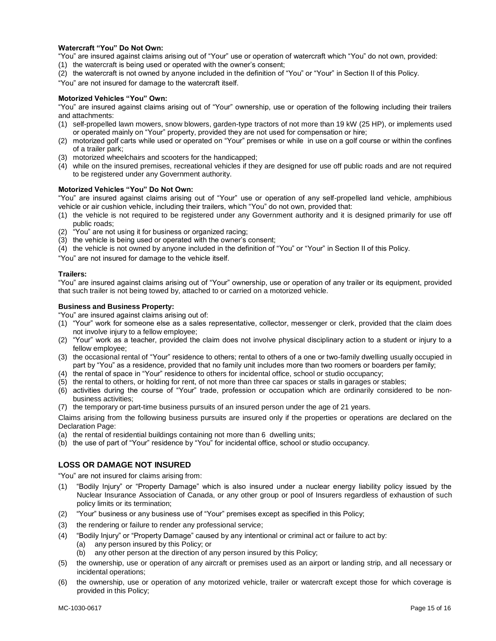# **Watercraft "You" Do Not Own:**

"You" are insured against claims arising out of "Your" use or operation of watercraft which "You" do not own, provided:

- (1) the watercraft is being used or operated with the owner's consent;
- (2) the watercraft is not owned by anyone included in the definition of "You" or "Your" in Section II of this Policy.

"You" are not insured for damage to the watercraft itself.

### **Motorized Vehicles "You" Own:**

"You" are insured against claims arising out of "Your" ownership, use or operation of the following including their trailers and attachments:

- (1) self-propelled lawn mowers, snow blowers, garden-type tractors of not more than 19 kW (25 HP), or implements used or operated mainly on "Your" property, provided they are not used for compensation or hire;
- (2) motorized golf carts while used or operated on "Your" premises or while in use on a golf course or within the confines of a trailer park;
- (3) motorized wheelchairs and scooters for the handicapped;
- (4) while on the insured premises, recreational vehicles if they are designed for use off public roads and are not required to be registered under any Government authority.

#### **Motorized Vehicles "You" Do Not Own:**

"You" are insured against claims arising out of "Your" use or operation of any self-propelled land vehicle, amphibious vehicle or air cushion vehicle, including their trailers, which "You" do not own, provided that:

- (1) the vehicle is not required to be registered under any Government authority and it is designed primarily for use off public roads;
- (2) "You" are not using it for business or organized racing;
- (3) the vehicle is being used or operated with the owner's consent;
- (4) the vehicle is not owned by anyone included in the definition of "You" or "Your" in Section II of this Policy.

"You" are not insured for damage to the vehicle itself.

# **Trailers:**

"You" are insured against claims arising out of "Your" ownership, use or operation of any trailer or its equipment, provided that such trailer is not being towed by, attached to or carried on a motorized vehicle.

#### **Business and Business Property:**

"You" are insured against claims arising out of:

- (1) "Your" work for someone else as a sales representative, collector, messenger or clerk, provided that the claim does not involve injury to a fellow employee;
- (2) "Your" work as a teacher, provided the claim does not involve physical disciplinary action to a student or injury to a fellow employee;
- (3) the occasional rental of "Your" residence to others; rental to others of a one or two-family dwelling usually occupied in part by "You" as a residence, provided that no family unit includes more than two roomers or boarders per family;
- (4) the rental of space in "Your" residence to others for incidental office, school or studio occupancy;
- (5) the rental to others, or holding for rent, of not more than three car spaces or stalls in garages or stables;
- (6) activities during the course of "Your" trade, profession or occupation which are ordinarily considered to be nonbusiness activities;
- (7) the temporary or part-time business pursuits of an insured person under the age of 21 years.

Claims arising from the following business pursuits are insured only if the properties or operations are declared on the Declaration Page:

- (a) the rental of residential buildings containing not more than 6 dwelling units;
- (b) the use of part of "Your" residence by "You" for incidental office, school or studio occupancy.

# **LOSS OR DAMAGE NOT INSURED**

"You" are not insured for claims arising from:

- (1) "Bodily Injury" or "Property Damage" which is also insured under a nuclear energy liability policy issued by the Nuclear Insurance Association of Canada, or any other group or pool of Insurers regardless of exhaustion of such policy limits or its termination;
- (2) "Your" business or any business use of "Your" premises except as specified in this Policy;
- (3) the rendering or failure to render any professional service;
- (4) "Bodily Injury" or "Property Damage" caused by any intentional or criminal act or failure to act by:
	- (a) any person insured by this Policy; or
	- (b) any other person at the direction of any person insured by this Policy;
- (5) the ownership, use or operation of any aircraft or premises used as an airport or landing strip, and all necessary or incidental operations;
- (6) the ownership, use or operation of any motorized vehicle, trailer or watercraft except those for which coverage is provided in this Policy;